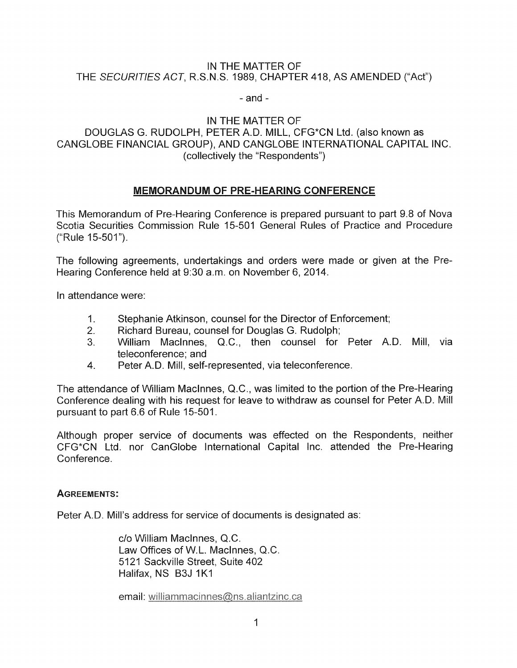#### IN THE MATTER OF THE SECURITIES ACT, R.S.N.S. 1989, CHAPTER 418, AS AMENDED ("Act")

#### - and -

## IN THE MATTER OF

# DOUGLAS G. RUDOLPH, PETER A.D. MILL, CFG\*CN Ltd. (also known as CANGLOBE FINANCIAL GROUP), AND CANGLOBE INTERNATIONAL CAPITAL INC. (collectively the "Respondents")

# MEMORANDUM OF PRE-HEARING CONFERENCE

This Memorandum of Pre-Hearing Conference is prepared pursuant to part 9.8 of Nova Scotia Securities Commission Rule 15-501 General Rules of Practice and Procedure ("Rule 15-501").

The following agreements, undertakings and orders were made or given at the Pre Hearing Conference held at 9:30 a.m, on November 6, 2014.

In attendance were:

- 1. Stephanie Atkinson, counsel for the Director of Enforcement;
- 2. Richard Bureau, counsel for Douglas G. Rudolph;
- 3. William Maclnnes, Q.C., then counsel for Peter A.D. Mill, via teleconference; and
- 4. Peter A.D. Mill, self-represented, via teleconference.

The attendance of William Maclnnes, Q.C., was limited to the portion of the Pre-Hearing Conference dealing with his request for leave to withdraw as counsel for Peter A.D. Mill pursuant to part 6.6 of Rule 15-501.

Although proper service of documents was effected on the Respondents, neither CFG\*CN Ltd. nor CanGlobe International Capital Inc. attended the Pre-Hearing Conference,

# AGREEMENTS:

Peter A.D. Mill's address for service of documents is designated as:

c/o William MacInnes, Q.C. Law Offices of W.L. Maclnnes, Q.C. 5121 Sackville Street, Suite 402 Halifax, NS B3J 1K1

email: williammacinnes@ns.aliantzinc.ca